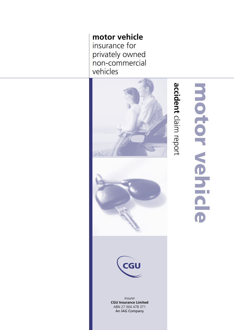**motor vehicle** insurance for privately owned non-commercial vehicles





*Insurer* **CGU Insurance Limited** ABN 27 004 478 371 An IAG Company

# motor vehicle motor vehicle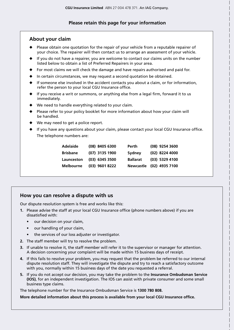## **Please retain this page for your information**

# **About your claim**

- Please obtain one quotation for the repair of your vehicle from a reputable repairer of your choice. The repairer will then contact us to arrange an assessment of your vehicle.
- If you do not have a repairer, you are welcome to contact our claims units on the number listed below to obtain a list of Preferred Repairers in your area.
- For most claims we will check the damage and have repairs authorised and paid for.
- In certain circumstances, we may request a second quotation be obtained.
- If someone else involved in the accident contacts you about a claim, or for information, refer the person to your local CGU Insurance office.
- If you receive a writ or summons, or anything else from a legal firm, forward it to us immediately.
- We need to handle everything related to your claim.
- Please refer to your policy booklet for more information about how your claim will be handled.
- We may need to get a police report.
- ◆ If you have any questions about your claim, please contact your local CGU Insurance office. The telephone numbers are:

| <b>Adelaide</b>  | $(08)$ 8405 6300 | Perth           | (08) 9254 3600           |
|------------------|------------------|-----------------|--------------------------|
| <b>Brisbane</b>  | (07) 3135 1900   | Sydney          | (02) 8224 4000           |
| Launceston       | $(03)$ 6345 3500 | <b>Ballarat</b> | (03) 5329 4100           |
| <b>Melbourne</b> | $(03)$ 9601 8222 |                 | Newcastle (02) 4935 7100 |

# **How you can resolve a dispute with us**

Our dispute resolution system is free and works like this:

- **1.** Please advise the staff at your local CGU Insurance office (phone numbers above) if you are dissatisfied with:
	- our decision on your claim,
	- our handling of your claim,
	- the services of our loss adjuster or investigator.
- **2.** The staff member will try to resolve the problem.
- **3.** If unable to resolve it, the staff member will refer it to the supervisor or manager for attention. A decision concerning your complaint will be made within 15 business days of receipt.
- **4.** If this fails to resolve your problem, you may request that the problem be referred to our internal dispute resolution staff. They will investigate the dispute and try to reach a satisfactory outcome with you, normally within 15 business days of the date you requested a referral.
- **5.** If you do not accept our decision, you may take the problem to the **Insurance Ombudsman Service (IOS)**, for an independent investigation. The IOS can assist with private consumer and some small business type claims.

The telephone number for the Insurance Ombudsman Service is **1300 780 808.**

**More detailed information about this process is available from your local CGU Insurance office.**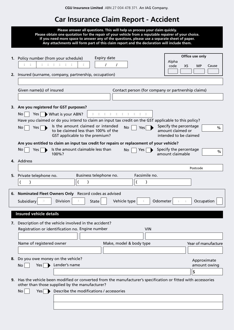# **Car Insurance Claim Report - Accident**

|    | Please answer all questions. This will help us process your claim quickly.<br>Please obtain one quotation for the repair of your vehicle from a reputable repairer of your choice.<br>If you need more space to answer any of the questions, please use a separate sheet of paper.<br>Any attachments will form part of this claim report and the declaration will include them.                                                                                                                                                                                                                                                                                                                          |                                       |
|----|-----------------------------------------------------------------------------------------------------------------------------------------------------------------------------------------------------------------------------------------------------------------------------------------------------------------------------------------------------------------------------------------------------------------------------------------------------------------------------------------------------------------------------------------------------------------------------------------------------------------------------------------------------------------------------------------------------------|---------------------------------------|
|    | <b>Expiry date</b><br>1. Policy number (from your schedule)<br>Alpha<br>distribution di<br>code<br>XS<br>2. Insured (surname, company, partnership, occupation)                                                                                                                                                                                                                                                                                                                                                                                                                                                                                                                                           | Office use only<br><b>MP</b><br>Cause |
|    | Given name(s) of insured<br>Contact person (for company or partnership claims)                                                                                                                                                                                                                                                                                                                                                                                                                                                                                                                                                                                                                            |                                       |
|    | 3. Are you registered for GST purposes?<br>restaurante de la capital de<br>No <sub>1</sub><br>Yes $\blacktriangleright$ What is your ABN?<br>Have you claimed or do you intend to claim an input tax credit on the GST applicable to this policy?<br>Is the amount claimed or intended<br>Specify the percentage<br><b>No</b><br>No<br>Yes $\Box$<br>Yes<br>amount claimed or<br>to be claimed less than 100% of the<br>intended to be claimed<br>GST applicable to the premium?<br>Are you entitled to claim an input tax credit for repairs or replacement of your vehicle?<br>Is the amount claimable less than<br>Specify the percentage<br>No<br>Yes  <br>No<br>Yes $ $<br>amount claimable<br>100%? | %<br>$\%$                             |
|    | 4. Address                                                                                                                                                                                                                                                                                                                                                                                                                                                                                                                                                                                                                                                                                                | Postcode                              |
|    | Facsimile no.<br>5. Private telephone no.<br>Business telephone no.                                                                                                                                                                                                                                                                                                                                                                                                                                                                                                                                                                                                                                       |                                       |
| 6. | Nominated Fleet Owners Only Record codes as advised<br>Division<br>Subsidiary<br>Vehicle type<br>State<br>Odometer                                                                                                                                                                                                                                                                                                                                                                                                                                                                                                                                                                                        | Occupation                            |
|    | <b>Insured vehicle details</b>                                                                                                                                                                                                                                                                                                                                                                                                                                                                                                                                                                                                                                                                            |                                       |
| 7. | Description of the vehicle involved in the accident?<br>Registration or identification no. Engine number<br><b>VIN</b>                                                                                                                                                                                                                                                                                                                                                                                                                                                                                                                                                                                    |                                       |
|    | Name of registered owner<br>Make, model & body type                                                                                                                                                                                                                                                                                                                                                                                                                                                                                                                                                                                                                                                       | Year of manufacture                   |
| 8. | Do you owe money on the vehicle?<br>Lender's name<br><b>No</b><br>Yes                                                                                                                                                                                                                                                                                                                                                                                                                                                                                                                                                                                                                                     | Approximate<br>amount owing<br>\$     |
| 9. | Has the vehicle been modified or converted from the manufacturer's specification or fitted with accessories<br>other than those supplied by the manufacturer?<br>Describe the modifications / accessories<br>No<br>Yes $\blacktriangleright$                                                                                                                                                                                                                                                                                                                                                                                                                                                              |                                       |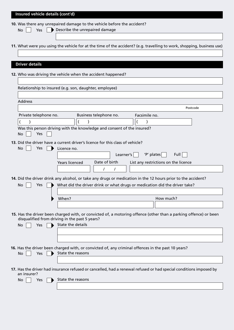| Insured vehicle details (cont'd)                                                                                                                                   |          |  |  |  |  |
|--------------------------------------------------------------------------------------------------------------------------------------------------------------------|----------|--|--|--|--|
| 10. Was there any unrepaired damage to the vehicle before the accident?                                                                                            |          |  |  |  |  |
| Describe the unrepaired damage<br>Yes<br><b>No</b>                                                                                                                 |          |  |  |  |  |
|                                                                                                                                                                    |          |  |  |  |  |
| 11. What were you using the vehicle for at the time of the accident? (e.g. travelling to work, shopping, business use)                                             |          |  |  |  |  |
|                                                                                                                                                                    |          |  |  |  |  |
|                                                                                                                                                                    |          |  |  |  |  |
| <b>Driver details</b>                                                                                                                                              |          |  |  |  |  |
| 12. Who was driving the vehicle when the accident happened?                                                                                                        |          |  |  |  |  |
|                                                                                                                                                                    |          |  |  |  |  |
| Relationship to insured (e.g. son, daughter, employee)                                                                                                             |          |  |  |  |  |
|                                                                                                                                                                    |          |  |  |  |  |
| <b>Address</b>                                                                                                                                                     |          |  |  |  |  |
|                                                                                                                                                                    | Postcode |  |  |  |  |
| Private telephone no.<br>Business telephone no.<br>Facsimile no.                                                                                                   |          |  |  |  |  |
|                                                                                                                                                                    |          |  |  |  |  |
| Was this person driving with the knowledge and consent of the insured?<br>Yes<br>No                                                                                |          |  |  |  |  |
| 13. Did the driver have a current driver's licence for this class of vehicle?                                                                                      |          |  |  |  |  |
| No<br><b>Yes</b><br>Licence no.<br>$\blacksquare$                                                                                                                  |          |  |  |  |  |
| 'P' plates<br>Learner's                                                                                                                                            | Full     |  |  |  |  |
| Date of birth<br>List any restrictions on the licence<br><b>Years licenced</b>                                                                                     |          |  |  |  |  |
| 7                                                                                                                                                                  |          |  |  |  |  |
|                                                                                                                                                                    |          |  |  |  |  |
| 14. Did the driver drink any alcohol, or take any drugs or medication in the 12 hours prior to the accident?                                                       |          |  |  |  |  |
| What did the driver drink or what drugs or medication did the driver take?<br>No<br>Yes                                                                            |          |  |  |  |  |
| How much?<br>When?                                                                                                                                                 |          |  |  |  |  |
|                                                                                                                                                                    |          |  |  |  |  |
|                                                                                                                                                                    |          |  |  |  |  |
| 15. Has the driver been charged with, or convicted of, a motoring offence (other than a parking offence) or been<br>disqualified from driving in the past 5 years? |          |  |  |  |  |
| State the details<br>Yes<br>No                                                                                                                                     |          |  |  |  |  |
|                                                                                                                                                                    |          |  |  |  |  |
|                                                                                                                                                                    |          |  |  |  |  |
| 16. Has the driver been charged with, or convicted of, any criminal offences in the past 10 years?                                                                 |          |  |  |  |  |
| State the reasons<br>No<br><b>Yes</b>                                                                                                                              |          |  |  |  |  |
|                                                                                                                                                                    |          |  |  |  |  |
| 17. Has the driver had insurance refused or cancelled, had a renewal refused or had special conditions imposed by                                                  |          |  |  |  |  |
| an insurer?                                                                                                                                                        |          |  |  |  |  |
| State the reasons<br>No<br>Yes                                                                                                                                     |          |  |  |  |  |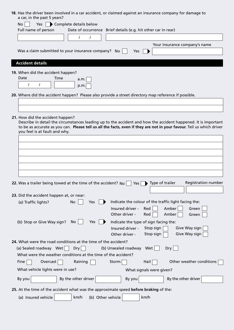| a car, in the past 5 years?                                                                          | 18. Has the driver been involved in a car accident, or claimed against an insurance company for damage to             |
|------------------------------------------------------------------------------------------------------|-----------------------------------------------------------------------------------------------------------------------|
| Yes   Complete details below<br><b>No</b>                                                            |                                                                                                                       |
| Full name of person                                                                                  | Date of occurrence Brief details (e.g. hit other car in rear)                                                         |
| $\prime$<br>$\prime$                                                                                 |                                                                                                                       |
|                                                                                                      | Your insurance company's name                                                                                         |
| Was a claim submitted to your insurance company? No                                                  | Yes                                                                                                                   |
|                                                                                                      |                                                                                                                       |
| <b>Accident details</b>                                                                              |                                                                                                                       |
| 19. When did the accident happen?                                                                    |                                                                                                                       |
| Date<br>Time<br>a.m.                                                                                 |                                                                                                                       |
| $\prime$<br>p.m.                                                                                     |                                                                                                                       |
| 20. Where did the accident happen? Please also provide a street directory map reference if possible. |                                                                                                                       |
|                                                                                                      |                                                                                                                       |
|                                                                                                      |                                                                                                                       |
| 21. How did the accident happen?                                                                     |                                                                                                                       |
|                                                                                                      | Describe in detail the circumstances leading up to the accident and how the accident happened. It is important        |
| you feel is at fault and why.                                                                        | to be as accurate as you can. Please tell us all the facts, even if they are not in your favour. Tell us which driver |
|                                                                                                      |                                                                                                                       |
|                                                                                                      |                                                                                                                       |
|                                                                                                      |                                                                                                                       |
|                                                                                                      |                                                                                                                       |
|                                                                                                      |                                                                                                                       |
|                                                                                                      |                                                                                                                       |
|                                                                                                      |                                                                                                                       |
| 22. Was a trailer being towed at the time of the accident? $N_{\text{O}}$                            | <b>Registration number</b><br>Type of trailer<br>Yes                                                                  |
|                                                                                                      |                                                                                                                       |
| 23. Did the accident happen at, or near:                                                             |                                                                                                                       |
| <b>No</b><br>Yes<br>(a) Traffic lights?                                                              | Indicate the colour of the traffic light facing the:                                                                  |
|                                                                                                      | Insured driver -<br>Amber<br>Red<br>Green<br>Other driver -<br>Amber<br>Green<br>Red                                  |
| (b) Stop or Give Way sign?<br>No.<br><b>Yes</b>                                                      | Indicate the type of sign facing the:                                                                                 |
|                                                                                                      | Insured driver -<br>Stop sign<br>Give Way sign                                                                        |
|                                                                                                      | Give Way sign<br>Stop sign<br>Other driver -                                                                          |
| 24. What were the road conditions at the time of the accident?                                       |                                                                                                                       |
| (a) Sealed roadway Wet<br>Dry                                                                        | (b) Unsealed roadway<br>Wet<br>Dry                                                                                    |
| What were the weather conditions at the time of the accident?                                        |                                                                                                                       |
| Fine<br>Overcast<br>Raining                                                                          | Other weather conditions<br>Hail<br>Storm                                                                             |
| What vehicle lights were in use?                                                                     | What signals were given?                                                                                              |
|                                                                                                      |                                                                                                                       |
| By the other driver<br>By you                                                                        | By the other driver<br>By you                                                                                         |
| 25. At the time of the accident what was the approximate speed before braking of the:                |                                                                                                                       |
| km/h<br>(b) Other vehicle<br>(a) Insured vehicle                                                     | km/h                                                                                                                  |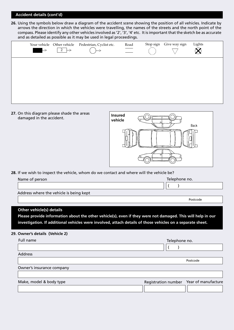### **Accident details (cont'd)**

**26.** Using the symbols below draw a diagram of the accident scene showing the position of all vehicles. Indicate by arrows the direction in which the vehicles were travelling, the names of the streets and the north point of the compass. Please identify any other vehicles involved as '2', '3', '4' etc. It is important that the sketch be as accurate and as detailed as possible as it may be used in legal proceedings.

| $\longrightarrow$ | Your vehicle Other vehicle<br>2 | Pedestrian, Cyclist etc. | Road<br>$\overline{\phantom{0}}$ | Stop sign | Give way sign | Lights |  |
|-------------------|---------------------------------|--------------------------|----------------------------------|-----------|---------------|--------|--|
|                   |                                 |                          |                                  |           |               |        |  |
|                   |                                 |                          |                                  |           |               |        |  |
|                   |                                 |                          |                                  |           |               |        |  |

**27.** On this diagram please shade the areas damaged in the accident.



**28.** If we wish to inspect the vehicle, whom do we contact and where will the vehicle be?

| Name of person |                                                                                                                                                |  | Telephone no. |                                         |
|----------------|------------------------------------------------------------------------------------------------------------------------------------------------|--|---------------|-----------------------------------------|
|                |                                                                                                                                                |  |               |                                         |
|                | Address where the vehicle is being kept                                                                                                        |  |               |                                         |
|                |                                                                                                                                                |  |               | Postcode                                |
|                | <b>Other vehicle(s) details</b><br>Please provide information about the other vehicle(s), even if they were not damaged. This will help in our |  |               |                                         |
|                | investigation. If additional vehicles were involved, attach details of those vehicles on a separate sheet.                                     |  |               |                                         |
|                | 29. Owner's details (Vehicle 2)                                                                                                                |  |               |                                         |
| Full name      |                                                                                                                                                |  | Telephone no. |                                         |
|                |                                                                                                                                                |  |               |                                         |
| <b>Address</b> |                                                                                                                                                |  |               |                                         |
|                |                                                                                                                                                |  |               | Postcode                                |
|                | Owner's insurance company                                                                                                                      |  |               |                                         |
|                |                                                                                                                                                |  |               |                                         |
|                | Make, model & body type                                                                                                                        |  |               | Registration number Year of manufacture |
|                |                                                                                                                                                |  |               |                                         |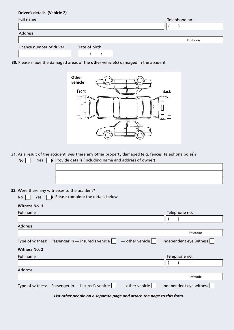### **Driver's details (Vehicle 2)**

| Full name                |               | Telephone no. |
|--------------------------|---------------|---------------|
|                          |               |               |
| Address                  |               |               |
|                          |               | Postcode      |
| Licence number of driver | Date of birth |               |

**30.** Please shade the damaged areas of the **other** vehicle(s) damaged in the accident



**31.** As a result of the accident, was there any other property damaged (e.g. fences, telephone poles)?

| Provide details (including name and address of owner)<br><b>No</b><br>Yes                         |                         |
|---------------------------------------------------------------------------------------------------|-------------------------|
|                                                                                                   |                         |
|                                                                                                   |                         |
|                                                                                                   |                         |
|                                                                                                   |                         |
| 32. Were there any witnesses to the accident?                                                     |                         |
| Please complete the details below<br>Yes<br>No.                                                   |                         |
| <b>Witness No. 1</b>                                                                              |                         |
| Full name                                                                                         | Telephone no.           |
|                                                                                                   |                         |
| <b>Address</b>                                                                                    |                         |
|                                                                                                   | Postcode                |
| Type of witness: Passenger in - insured's vehicle<br>$-$ other vehicle                            | Independent eye witness |
| <b>Witness No. 2</b>                                                                              |                         |
| Full name                                                                                         | Telephone no.           |
|                                                                                                   |                         |
| <b>Address</b>                                                                                    |                         |
|                                                                                                   | Postcode                |
| — other vehicle $\vert$ $\vert$<br>Passenger in $-$ insured's vehicle $  \  $<br>Type of witness: | Independent eye witness |
| List other people on a separate page and attach the page to this form.                            |                         |